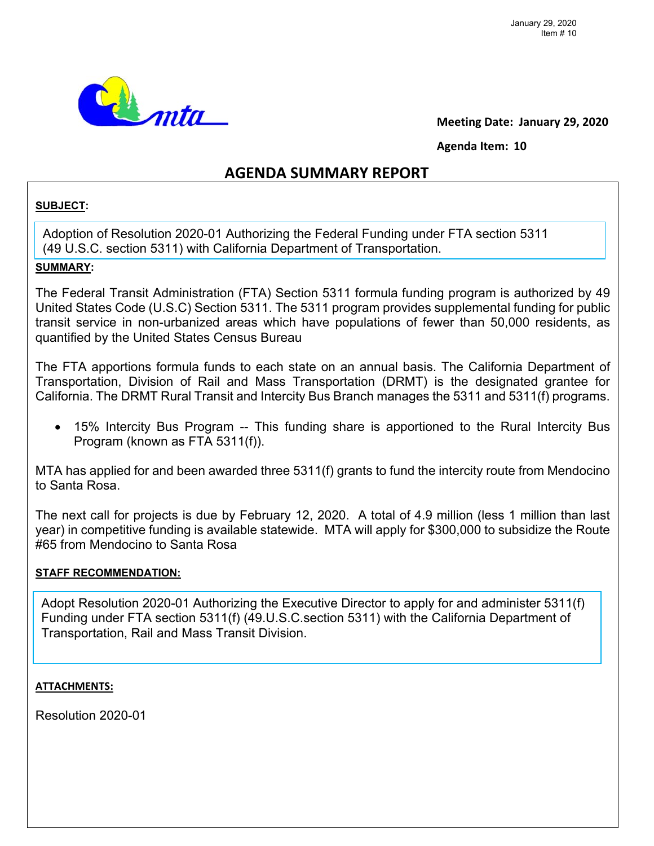

**Meeting Date: January 29, 2020** 

**Agenda Item: 10**

## **AGENDA SUMMARY REPORT**

## **SUBJECT:**

Adoption of Resolution 2020-01 Authorizing the Federal Funding under FTA section 5311 (49 U.S.C. section 5311) with California Department of Transportation.

## **SUMMARY:**

The Federal Transit Administration (FTA) Section 5311 formula funding program is authorized by 49 United States Code (U.S.C) Section 5311. The 5311 program provides supplemental funding for public transit service in non-urbanized areas which have populations of fewer than 50,000 residents, as quantified by the United States Census Bureau

The FTA apportions formula funds to each state on an annual basis. The California Department of Transportation, Division of Rail and Mass Transportation (DRMT) is the designated grantee for California. The DRMT Rural Transit and Intercity Bus Branch manages the 5311 and 5311(f) programs.

 15% Intercity Bus Program -- This funding share is apportioned to the Rural Intercity Bus Program (known as FTA 5311(f)).

MTA has applied for and been awarded three 5311(f) grants to fund the intercity route from Mendocino to Santa Rosa.

The next call for projects is due by February 12, 2020. A total of 4.9 million (less 1 million than last year) in competitive funding is available statewide. MTA will apply for \$300,000 to subsidize the Route #65 from Mendocino to Santa Rosa

### **STAFF RECOMMENDATION:**

Adopt Resolution 2020-01 Authorizing the Executive Director to apply for and administer 5311(f) Funding under FTA section 5311(f) (49.U.S.C.section 5311) with the California Department of Transportation, Rail and Mass Transit Division.

#### **ATTACHMENTS:**

Resolution 2020-01